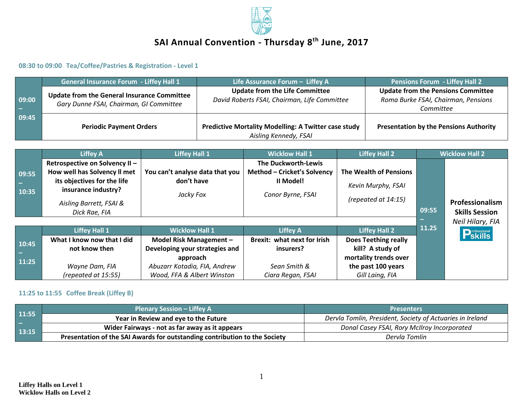

# **SAI Annual Convention - Thursday 8 th June, 2017**

**08:30 to 09:00 Tea/Coffee/Pastries & Registration - Level 1**

|       | <b>General Insurance Forum - Liffey Hall 1</b>     | Life Assurance Forum - Liffey A                             | <b>Pensions Forum - Liffey Hall 2</b>         |  |
|-------|----------------------------------------------------|-------------------------------------------------------------|-----------------------------------------------|--|
|       | <b>Update from the General Insurance Committee</b> | <b>Update from the Life Committee</b>                       | <b>Update from the Pensions Committee</b>     |  |
| 09:00 | Gary Dunne FSAI, Chairman, GI Committee            | David Roberts FSAI, Chairman, Life Committee                | Roma Burke FSAI, Chairman, Pensions           |  |
|       |                                                    |                                                             | Committee                                     |  |
| 09:45 |                                                    |                                                             |                                               |  |
|       | <b>Periodic Payment Orders</b>                     | <b>Predictive Mortality Modelling: A Twitter case study</b> | <b>Presentation by the Pensions Authority</b> |  |
|       |                                                    | Aisling Kennedy, FSAI                                       |                                               |  |

|                | <b>Liffey A</b>                                                                                                      | <b>Liffey Hall 1</b>                                       | <b>Wicklow Hall 1</b>                                                                | <b>Liffey Hall 2</b>                                                   |       | <b>Wicklow Hall 2</b>                    |
|----------------|----------------------------------------------------------------------------------------------------------------------|------------------------------------------------------------|--------------------------------------------------------------------------------------|------------------------------------------------------------------------|-------|------------------------------------------|
| 09:55<br>10:35 | Retrospective on Solvency II -<br>How well has Solvency II met<br>its objectives for the life<br>insurance industry? | You can't analyse data that you<br>don't have<br>Jacky Fox | The Duckworth-Lewis<br>Method - Cricket's Solvency<br>Il Model!<br>Conor Byrne, FSAI | The Wealth of Pensions<br>Kevin Murphy, FSAI<br>(repeated at $14:15$ ) |       |                                          |
|                | Aisling Barrett, FSAI &<br>Dick Rae, FIA                                                                             |                                                            |                                                                                      |                                                                        | 09:55 | Professionalism<br><b>Skills Session</b> |
|                |                                                                                                                      |                                                            |                                                                                      |                                                                        |       | Neil Hilary, FIA                         |
|                | <b>Liffey Hall 1</b>                                                                                                 | <b>Wicklow Hall 1</b>                                      | <b>Liffey A</b>                                                                      | <b>Liffey Hall 2</b>                                                   | 11.25 | <b>P</b> Skills                          |
| 10:45          | What I know now that I did                                                                                           | Model Risk Management -                                    | <b>Brexit: what next for Irish</b>                                                   | <b>Does Teething really</b>                                            |       |                                          |
|                | not know then                                                                                                        | Developing your strategies and                             | insurers?                                                                            | kill? A study of                                                       |       |                                          |
| 11:25          |                                                                                                                      | approach                                                   |                                                                                      | mortality trends over                                                  |       |                                          |
|                | Wayne Dam, FIA                                                                                                       | Abuzarr Kotadia, FIA, Andrew                               | Sean Smith &                                                                         | the past 100 years                                                     |       |                                          |
|                | (repeated at 15:55)                                                                                                  | Wood, FFA & Albert Winston                                 | Ciara Regan, FSAI                                                                    | Gill Laing, FIA                                                        |       |                                          |

## **11:25 to 11:55 Coffee Break (Liffey B)**

| 11:55<br>-- | <b>Plenary Session - Liffey A</b>                                          | <b>Presenters</b>                                         |  |  |
|-------------|----------------------------------------------------------------------------|-----------------------------------------------------------|--|--|
|             | Year in Review and eye to the Future                                       | Dervla Tomlin, President, Society of Actuaries in Ireland |  |  |
| 13:15       | Wider Fairways - not as far away as it appears                             | Donal Casey FSAI, Rory McIlroy Incorporated               |  |  |
|             | Presentation of the SAI Awards for outstanding contribution to the Society | Dervla Tomlin                                             |  |  |